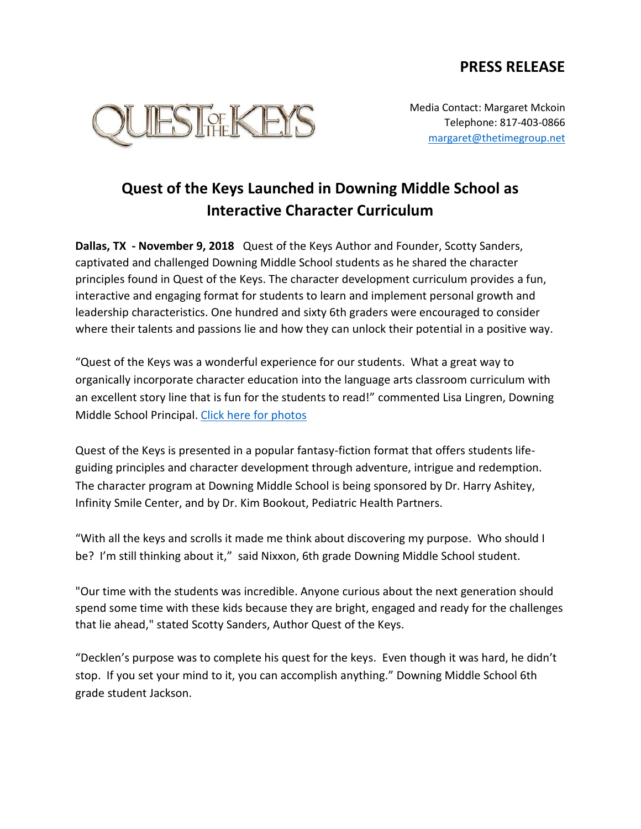## **PRESS RELEASE**



Media Contact: Margaret Mckoin Telephone: 817-403-0866 [margaret@thetimegroup.net](mailto:margaret@thetimegroup.net)

## **Quest of the Keys Launched in Downing Middle School as Interactive Character Curriculum**

**Dallas, TX - November 9, 2018** Quest of the Keys Author and Founder, Scotty Sanders, captivated and challenged Downing Middle School students as he shared the character principles found in Quest of the Keys. The character development curriculum provides a fun, interactive and engaging format for students to learn and implement personal growth and leadership characteristics. One hundred and sixty 6th graders were encouraged to consider where their talents and passions lie and how they can unlock their potential in a positive way.

"Quest of the Keys was a wonderful experience for our students. What a great way to organically incorporate character education into the language arts classroom curriculum with an excellent story line that is fun for the students to read!" commented Lisa Lingren, Downing Middle School Principal. [Click here for photos](https://thetimegroup.pixieset.com/questofthekeyslaunchedindowningmiddleschoolasinteractivecharactercurriculum/)

Quest of the Keys is presented in a popular fantasy-fiction format that offers students lifeguiding principles and character development through adventure, intrigue and redemption. The character program at Downing Middle School is being sponsored by Dr. Harry Ashitey, Infinity Smile Center, and by Dr. Kim Bookout, Pediatric Health Partners.

"With all the keys and scrolls it made me think about discovering my purpose. Who should I be? I'm still thinking about it," said Nixxon, 6th grade Downing Middle School student.

"Our time with the students was incredible. Anyone curious about the next generation should spend some time with these kids because they are bright, engaged and ready for the challenges that lie ahead," stated Scotty Sanders, Author Quest of the Keys.

"Decklen's purpose was to complete his quest for the keys. Even though it was hard, he didn't stop. If you set your mind to it, you can accomplish anything." Downing Middle School 6th grade student Jackson.